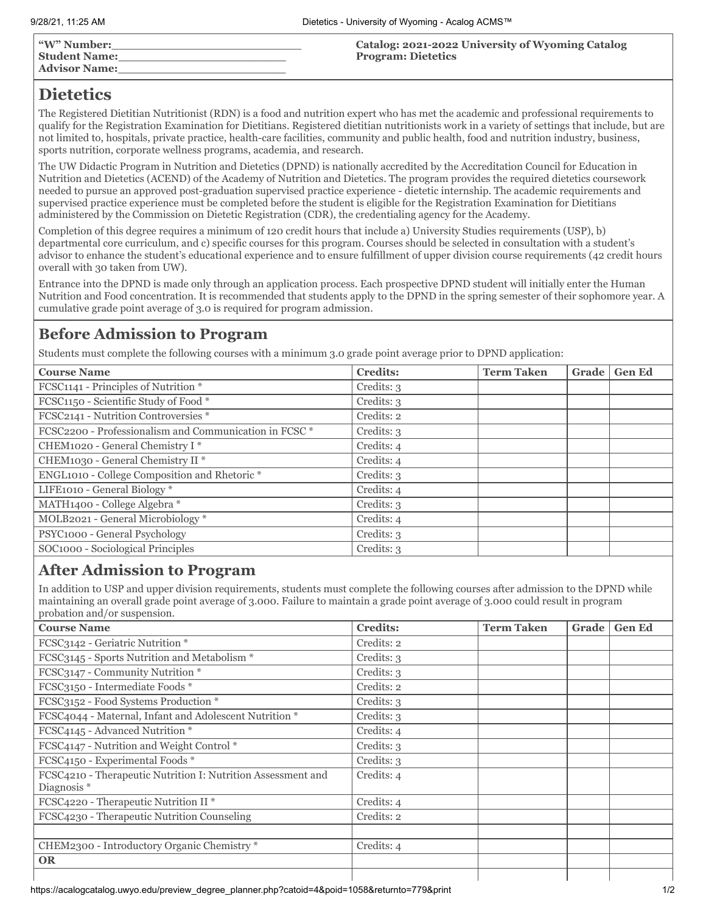| "W" Number:          | Catalog: 2021-2022 University of Wyoming Catalog |
|----------------------|--------------------------------------------------|
| <b>Student Name:</b> | <b>Program: Dietetics</b>                        |
| <b>Advisor Name:</b> |                                                  |

# **Dietetics**

The Registered Dietitian Nutritionist (RDN) is a food and nutrition expert who has met the academic and professional requirements to qualify for the Registration Examination for Dietitians. Registered dietitian nutritionists work in a variety of settings that include, but are not limited to, hospitals, private practice, health-care facilities, community and public health, food and nutrition industry, business, sports nutrition, corporate wellness programs, academia, and research.

The UW Didactic Program in Nutrition and Dietetics (DPND) is nationally accredited by the Accreditation Council for Education in Nutrition and Dietetics (ACEND) of the Academy of Nutrition and Dietetics. The program provides the required dietetics coursework needed to pursue an approved post-graduation supervised practice experience - dietetic internship. The academic requirements and supervised practice experience must be completed before the student is eligible for the Registration Examination for Dietitians administered by the Commission on Dietetic Registration (CDR), the credentialing agency for the Academy.

Completion of this degree requires a minimum of 120 credit hours that include a) University Studies requirements (USP), b) departmental core curriculum, and c) specific courses for this program. Courses should be selected in consultation with a student's advisor to enhance the student's educational experience and to ensure fulfillment of upper division course requirements (42 credit hours overall with 30 taken from UW).

Entrance into the DPND is made only through an application process. Each prospective DPND student will initially enter the Human Nutrition and Food concentration. It is recommended that students apply to the DPND in the spring semester of their sophomore year. A cumulative grade point average of 3.0 is required for program admission.

## **Before Admission to Program**

Students must complete the following courses with a minimum 3.0 grade point average prior to DPND application:

| <b>Course Name</b>                                     | <b>Credits:</b> | <b>Term Taken</b> | Grade | <b>Gen Ed</b> |
|--------------------------------------------------------|-----------------|-------------------|-------|---------------|
| FCSC1141 - Principles of Nutrition *                   | Credits: 3      |                   |       |               |
| FCSC1150 - Scientific Study of Food *                  | Credits: 3      |                   |       |               |
| FCSC2141 - Nutrition Controversies *                   | Credits: 2      |                   |       |               |
| FCSC2200 - Professionalism and Communication in FCSC * | Credits: 3      |                   |       |               |
| CHEM1020 - General Chemistry I*                        | Credits: 4      |                   |       |               |
| CHEM1030 - General Chemistry II <sup>*</sup>           | Credits: 4      |                   |       |               |
| ENGL1010 - College Composition and Rhetoric *          | Credits: 3      |                   |       |               |
| LIFE1010 - General Biology *                           | Credits: 4      |                   |       |               |
| MATH1400 - College Algebra *                           | Credits: 3      |                   |       |               |
| MOLB2021 - General Microbiology *                      | Credits: 4      |                   |       |               |
| PSYC1000 - General Psychology                          | Credits: 3      |                   |       |               |
| SOC1000 - Sociological Principles                      | Credits: 3      |                   |       |               |
|                                                        |                 |                   |       |               |

### **After Admission to Program**

In addition to USP and upper division requirements, students must complete the following courses after admission to the DPND while maintaining an overall grade point average of 3.000. Failure to maintain a grade point average of 3.000 could result in program probation and/or suspension.

| <b>Course Name</b>                                                                     | <b>Credits:</b> | <b>Term Taken</b> | Grade | <b>Gen Ed</b> |
|----------------------------------------------------------------------------------------|-----------------|-------------------|-------|---------------|
| FCSC3142 - Geriatric Nutrition *                                                       | Credits: 2      |                   |       |               |
| FCSC3145 - Sports Nutrition and Metabolism *                                           | Credits: 3      |                   |       |               |
| FCSC3147 - Community Nutrition *                                                       | Credits: 3      |                   |       |               |
| FCSC3150 - Intermediate Foods *                                                        | Credits: 2      |                   |       |               |
| FCSC3152 - Food Systems Production *                                                   | Credits: 3      |                   |       |               |
| FCSC4044 - Maternal, Infant and Adolescent Nutrition *                                 | Credits: 3      |                   |       |               |
| FCSC4145 - Advanced Nutrition *                                                        | Credits: 4      |                   |       |               |
| FCSC4147 - Nutrition and Weight Control *                                              | Credits: 3      |                   |       |               |
| FCSC4150 - Experimental Foods *                                                        | Credits: 3      |                   |       |               |
| FCSC4210 - Therapeutic Nutrition I: Nutrition Assessment and<br>Diagnosis <sup>*</sup> | Credits: 4      |                   |       |               |
| FCSC4220 - Therapeutic Nutrition II *                                                  | Credits: 4      |                   |       |               |
| FCSC4230 - Therapeutic Nutrition Counseling                                            | Credits: 2      |                   |       |               |
|                                                                                        |                 |                   |       |               |
| CHEM2300 - Introductory Organic Chemistry *                                            | Credits: 4      |                   |       |               |
| <b>OR</b>                                                                              |                 |                   |       |               |
|                                                                                        |                 |                   |       |               |